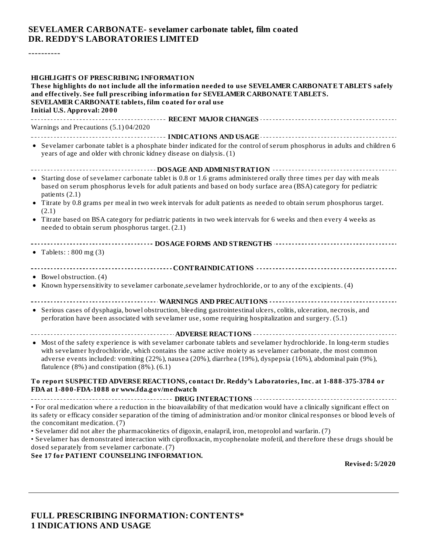#### **SEVELAMER CARBONATE- s evelamer carbonate tablet, film coated DR. REDDY'S LABORATORIES LIMITED**

----------

| <b>HIGHLIGHTS OF PRESCRIBING INFORMATION</b><br>These highlights do not include all the information needed to use SEVELAMER CARBONATE TABLETS safely<br>and effectively. See full prescribing information for SEVELAMER CARBONATE TABLETS.<br>SEVELAMER CARBONATE tablets, film coated for oral use<br><b>Initial U.S. Approval: 2000</b>                                                                                                                                                                                                                                                      |  |  |  |
|------------------------------------------------------------------------------------------------------------------------------------------------------------------------------------------------------------------------------------------------------------------------------------------------------------------------------------------------------------------------------------------------------------------------------------------------------------------------------------------------------------------------------------------------------------------------------------------------|--|--|--|
| Warnings and Precautions (5.1) 04/2020                                                                                                                                                                                                                                                                                                                                                                                                                                                                                                                                                         |  |  |  |
| • Sevelamer carbonate tablet is a phosphate binder indicated for the control of serum phosphorus in adults and children 6<br>years of age and older with chronic kidney disease on dialysis. (1)                                                                                                                                                                                                                                                                                                                                                                                               |  |  |  |
| • Starting dose of sevelamer carbonate tablet is 0.8 or 1.6 grams administered orally three times per day with meals<br>based on serum phosphorus levels for adult patients and based on body surface area (BSA) category for pediatric<br>patients (2.1)<br>• Titrate by 0.8 grams per meal in two week intervals for adult patients as needed to obtain serum phosphorus target.<br>(2.1)<br>• Titrate based on BSA category for pediatric patients in two week intervals for 6 weeks and then every 4 weeks as<br>needed to obtain serum phosphorus target. (2.1)                           |  |  |  |
| • Tablets:: $800 \text{ mg} (3)$                                                                                                                                                                                                                                                                                                                                                                                                                                                                                                                                                               |  |  |  |
| • Bowel obstruction. (4)<br>• Known hypersensitivity to sevelamer carbonate, sevelamer hydrochloride, or to any of the excipients. (4)                                                                                                                                                                                                                                                                                                                                                                                                                                                         |  |  |  |
| • Serious cases of dysphagia, bowel obstruction, bleeding gastrointestinal ulcers, colitis, ulceration, necrosis, and<br>perforation have been associated with sevelamer use, some requiring hospitalization and surgery. (5.1)                                                                                                                                                                                                                                                                                                                                                                |  |  |  |
|                                                                                                                                                                                                                                                                                                                                                                                                                                                                                                                                                                                                |  |  |  |
| • Most of the safety experience is with sevelamer carbonate tablets and sevelamer hydrochloride. In long-term studies<br>with sevelamer hydrochloride, which contains the same active moiety as sevelamer carbonate, the most common<br>adverse events included: vomiting (22%), nausea (20%), diarrhea (19%), dyspepsia (16%), abdominal pain (9%),<br>flatulence $(8\%)$ and constipation $(8\%)$ . $(6.1)$                                                                                                                                                                                  |  |  |  |
| To report SUSPECTED ADVERSE REACTIONS, contact Dr. Reddy's Laboratories, Inc. at 1-888-375-3784 or<br>FDA at 1-800-FDA-1088 or www.fda.gov/medwatch                                                                                                                                                                                                                                                                                                                                                                                                                                            |  |  |  |
| • For oral medication where a reduction in the bioavailability of that medication would have a clinically significant effect on<br>its safety or efficacy consider separation of the timing of administration and/or monitor clinical responses or blood levels of<br>the concomitant medication. (7)<br>· Sevelamer did not alter the pharmacokinetics of digoxin, enalapril, iron, metoprolol and warfarin. (7)<br>• Sevelamer has demonstrated interaction with ciprofloxacin, mycophenolate mofetil, and therefore these drugs should be<br>dosed separately from sevelamer carbonate. (7) |  |  |  |
| See 17 for PATIENT COUNSELING INFORMATION.<br><b>Revised: 5/2020</b>                                                                                                                                                                                                                                                                                                                                                                                                                                                                                                                           |  |  |  |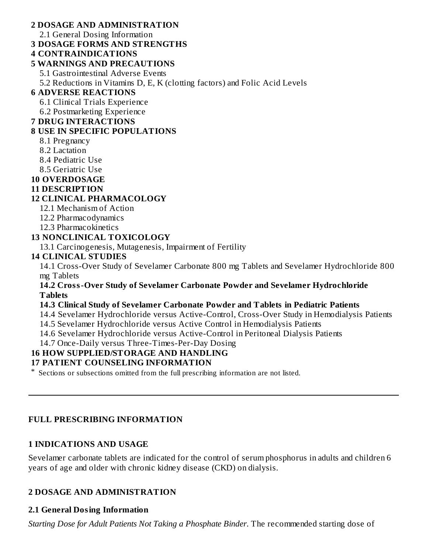#### **2 DOSAGE AND ADMINISTRATION**

2.1 General Dosing Information

#### **3 DOSAGE FORMS AND STRENGTHS**

#### **4 CONTRAINDICATIONS**

#### **5 WARNINGS AND PRECAUTIONS**

5.1 Gastrointestinal Adverse Events

5.2 Reductions in Vitamins D, E, K (clotting factors) and Folic Acid Levels

## **6 ADVERSE REACTIONS**

6.1 Clinical Trials Experience

6.2 Postmarketing Experience

#### **7 DRUG INTERACTIONS**

## **8 USE IN SPECIFIC POPULATIONS**

- 8.1 Pregnancy
- 8.2 Lactation
- 8.4 Pediatric Use
- 8.5 Geriatric Use

## **10 OVERDOSAGE**

#### **11 DESCRIPTION**

## **12 CLINICAL PHARMACOLOGY**

- 12.1 Mechanism of Action
- 12.2 Pharmacodynamics
- 12.3 Pharmacokinetics

## **13 NONCLINICAL TOXICOLOGY**

13.1 Carcinogenesis, Mutagenesis, Impairment of Fertility

## **14 CLINICAL STUDIES**

14.1 Cross-Over Study of Sevelamer Carbonate 800 mg Tablets and Sevelamer Hydrochloride 800 mg Tablets

#### **14.2 Cross-Over Study of Sevelamer Carbonate Powder and Sevelamer Hydrochloride Tablets**

#### **14.3 Clinical Study of Sevelamer Carbonate Powder and Tablets in Pediatric Patients**

14.4 Sevelamer Hydrochloride versus Active-Control, Cross-Over Study in Hemodialysis Patients

14.5 Sevelamer Hydrochloride versus Active Control in Hemodialysis Patients

14.6 Sevelamer Hydrochloride versus Active-Control in Peritoneal Dialysis Patients

14.7 Once-Daily versus Three-Times-Per-Day Dosing

#### **16 HOW SUPPLIED/STORAGE AND HANDLING**

#### **17 PATIENT COUNSELING INFORMATION**

\* Sections or subsections omitted from the full prescribing information are not listed.

## **FULL PRESCRIBING INFORMATION**

## **1 INDICATIONS AND USAGE**

Sevelamer carbonate tablets are indicated for the control of serum phosphorus in adults and children 6 years of age and older with chronic kidney disease (CKD) on dialysis.

#### **2 DOSAGE AND ADMINISTRATION**

## **2.1 General Dosing Information**

*Starting Dose for Adult Patients Not Taking a Phosphate Binder*. The recommended starting dose of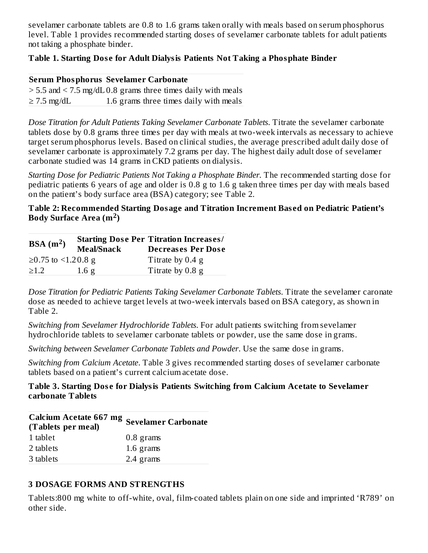sevelamer carbonate tablets are 0.8 to 1.6 grams taken orally with meals based on serum phosphorus level. Table 1 provides recommended starting doses of sevelamer carbonate tablets for adult patients not taking a phosphate binder.

#### **Table 1. Starting Dos e for Adult Dialysis Patients Not Taking a Phosphate Binder**

#### **Serum Phosphorus Sevelamer Carbonate**

 $>$  5.5 and  $<$  7.5 mg/dL 0.8 grams three times daily with meals  $\geq$  7.5 mg/dL 1.6 grams three times daily with meals

*Dose Titration for Adult Patients Taking Sevelamer Carbonate Tablets*. Titrate the sevelamer carbonate tablets dose by 0.8 grams three times per day with meals at two-week intervals as necessary to achieve target serum phosphorus levels. Based on clinical studies, the average prescribed adult daily dose of sevelamer carbonate is approximately 7.2 grams per day. The highest daily adult dose of sevelamer carbonate studied was 14 grams in CKD patients on dialysis.

*Starting Dose for Pediatric Patients Not Taking a Phosphate Binder.* The recommended starting dose for pediatric patients 6 years of age and older is 0.8 g to 1.6 g taken three times per day with meals based on the patient's body surface area (BSA) category; see Table 2.

#### **Table 2: Recommended Starting Dosage and Titration Increment Bas ed on Pediatric Patient's Body Surface Area (m ) 2**

| BSA(m <sup>2</sup> )<br><b>Meal/Snack</b> |                  | <b>Starting Dose Per Titration Increases/</b><br><b>Decreases Per Dose</b> |  |
|-------------------------------------------|------------------|----------------------------------------------------------------------------|--|
| ≥0.75 to <1.20.8 g                        |                  | Titrate by $0.4$ g                                                         |  |
| >1.2                                      | 1.6 <sub>g</sub> | Titrate by 0.8 g                                                           |  |

*Dose Titration for Pediatric Patients Taking Sevelamer Carbonate Tablets*. Titrate the sevelamer caronate dose as needed to achieve target levels at two-week intervals based on BSA category, as shown in Table 2.

*Switching from Sevelamer Hydrochloride Tablets*. For adult patients switching from sevelamer hydrochloride tablets to sevelamer carbonate tablets or powder, use the same dose in grams.

*Switching between Sevelamer Carbonate Tablets and Powder*. Use the same dose in grams.

*Switching from Calcium Acetate*. Table 3 gives recommended starting doses of sevelamer carbonate tablets based on a patient's current calcium acetate dose.

#### **Table 3. Starting Dos e for Dialysis Patients Switching from Calcium Acetate to Sevelamer carbonate Tablets**

| <b>Calcium Acetate 667 mg Sevelamer Carbonate</b><br>(Tablets per meal) |             |
|-------------------------------------------------------------------------|-------------|
| 1 tablet                                                                | $0.8$ grams |
| 2 tablets                                                               | 1.6 grams   |
| 3 tablets                                                               | 2.4 grams   |

#### **3 DOSAGE FORMS AND STRENGTHS**

Tablets:800 mg white to off-white, oval, film-coated tablets plain on one side and imprinted 'R789' on other side.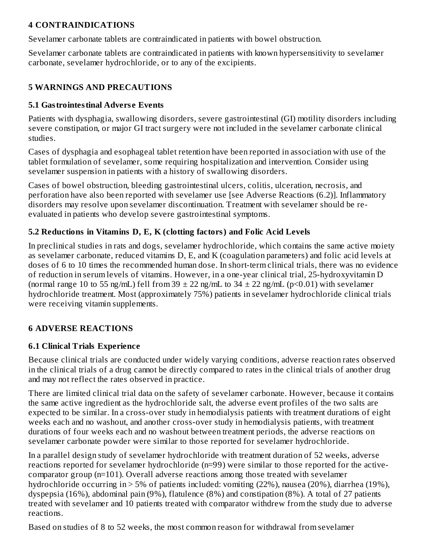## **4 CONTRAINDICATIONS**

Sevelamer carbonate tablets are contraindicated in patients with bowel obstruction.

Sevelamer carbonate tablets are contraindicated in patients with known hypersensitivity to sevelamer carbonate, sevelamer hydrochloride, or to any of the excipients.

## **5 WARNINGS AND PRECAUTIONS**

## **5.1 Gastrointestinal Advers e Events**

Patients with dysphagia, swallowing disorders, severe gastrointestinal (GI) motility disorders including severe constipation, or major GI tract surgery were not included in the sevelamer carbonate clinical studies.

Cases of dysphagia and esophageal tablet retention have been reported in association with use of the tablet formulation of sevelamer, some requiring hospitalization and intervention. Consider using sevelamer suspension in patients with a history of swallowing disorders.

Cases of bowel obstruction, bleeding gastrointestinal ulcers, colitis, ulceration, necrosis, and perforation have also been reported with sevelamer use [see Adverse Reactions (6.2)]. Inflammatory disorders may resolve upon sevelamer discontinuation. Treatment with sevelamer should be reevaluated in patients who develop severe gastrointestinal symptoms.

## **5.2 Reductions in Vitamins D, E, K (clotting factors) and Folic Acid Levels**

In preclinical studies in rats and dogs, sevelamer hydrochloride, which contains the same active moiety as sevelamer carbonate, reduced vitamins D, E, and K (coagulation parameters) and folic acid levels at doses of 6 to 10 times the recommended human dose. In short-term clinical trials, there was no evidence of reduction in serum levels of vitamins. However, in a one-year clinical trial, 25-hydroxyvitamin D (normal range 10 to 55 ng/mL) fell from 39  $\pm$  22 ng/mL to 34  $\pm$  22 ng/mL (p<0.01) with sevelamer hydrochloride treatment. Most (approximately 75%) patients in sevelamer hydrochloride clinical trials were receiving vitamin supplements.

#### **6 ADVERSE REACTIONS**

## **6.1 Clinical Trials Experience**

Because clinical trials are conducted under widely varying conditions, adverse reaction rates observed in the clinical trials of a drug cannot be directly compared to rates in the clinical trials of another drug and may not reflect the rates observed in practice.

There are limited clinical trial data on the safety of sevelamer carbonate. However, because it contains the same active ingredient as the hydrochloride salt, the adverse event profiles of the two salts are expected to be similar. In a cross-over study in hemodialysis patients with treatment durations of eight weeks each and no washout, and another cross-over study in hemodialysis patients, with treatment durations of four weeks each and no washout between treatment periods, the adverse reactions on sevelamer carbonate powder were similar to those reported for sevelamer hydrochloride.

In a parallel design study of sevelamer hydrochloride with treatment duration of 52 weeks, adverse reactions reported for sevelamer hydrochloride (n=99) were similar to those reported for the activecomparator group (n=101). Overall adverse reactions among those treated with sevelamer hydrochloride occurring in > 5% of patients included: vomiting (22%), nausea (20%), diarrhea (19%), dyspepsia (16%), abdominal pain (9%), flatulence (8%) and constipation (8%). A total of 27 patients treated with sevelamer and 10 patients treated with comparator withdrew from the study due to adverse reactions.

Based on studies of 8 to 52 weeks, the most common reason for withdrawal from sevelamer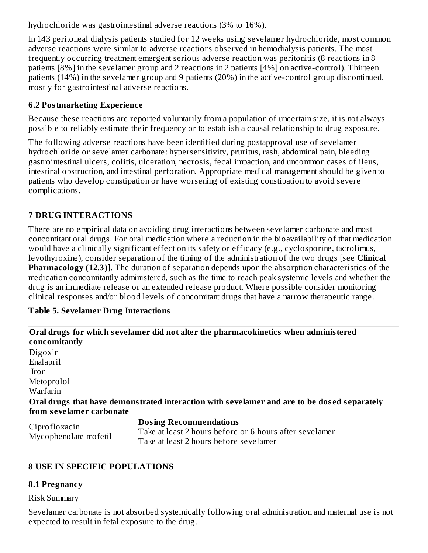hydrochloride was gastrointestinal adverse reactions (3% to 16%).

In 143 peritoneal dialysis patients studied for 12 weeks using sevelamer hydrochloride, most common adverse reactions were similar to adverse reactions observed in hemodialysis patients. The most frequently occurring treatment emergent serious adverse reaction was peritonitis (8 reactions in 8 patients [8%] in the sevelamer group and 2 reactions in 2 patients [4%] on active-control). Thirteen patients (14%) in the sevelamer group and 9 patients (20%) in the active-control group discontinued, mostly for gastrointestinal adverse reactions.

## **6.2 Postmarketing Experience**

Because these reactions are reported voluntarily from a population of uncertain size, it is not always possible to reliably estimate their frequency or to establish a causal relationship to drug exposure.

The following adverse reactions have been identified during postapproval use of sevelamer hydrochloride or sevelamer carbonate: hypersensitivity, pruritus, rash, abdominal pain, bleeding gastrointestinal ulcers, colitis, ulceration, necrosis, fecal impaction, and uncommon cases of ileus, intestinal obstruction, and intestinal perforation. Appropriate medical management should be given to patients who develop constipation or have worsening of existing constipation to avoid severe complications.

## **7 DRUG INTERACTIONS**

There are no empirical data on avoiding drug interactions between sevelamer carbonate and most concomitant oral drugs. For oral medication where a reduction in the bioavailability of that medication would have a clinically significant effect on its safety or efficacy (e.g., cyclosporine, tacrolimus, levothyroxine), consider separation of the timing of the administration of the two drugs [see **Clinical Pharmacology (12.3)].** The duration of separation depends upon the absorption characteristics of the medication concomitantly administered, such as the time to reach peak systemic levels and whether the drug is an immediate release or an extended release product. Where possible consider monitoring clinical responses and/or blood levels of concomitant drugs that have a narrow therapeutic range.

#### **Table 5. Sevelamer Drug Interactions**

| concomitantly        | Oral drugs for which sevelamer did not alter the pharmacokinetics when administered         |
|----------------------|---------------------------------------------------------------------------------------------|
| Digoxin              |                                                                                             |
| Enalapril            |                                                                                             |
| Iron                 |                                                                                             |
| Metoprolol           |                                                                                             |
| Warfarin             |                                                                                             |
|                      | Oral drugs that have demonstrated interaction with sevelamer and are to be dosed separately |
|                      | from sevelamer carbonate                                                                    |
| $\sim$ $\sim$ $\sim$ | <b>Dosing Recommendations</b>                                                               |

| Ciprofloxacin<br>Mycophenolate mofetil | <b>Dosing Recommendations</b>                           |
|----------------------------------------|---------------------------------------------------------|
|                                        | Take at least 2 hours before or 6 hours after sevelamer |
|                                        | Take at least 2 hours before sevelamer                  |

## **8 USE IN SPECIFIC POPULATIONS**

#### **8.1 Pregnancy**

#### Risk Summary

Sevelamer carbonate is not absorbed systemically following oral administration and maternal use is not expected to result in fetal exposure to the drug.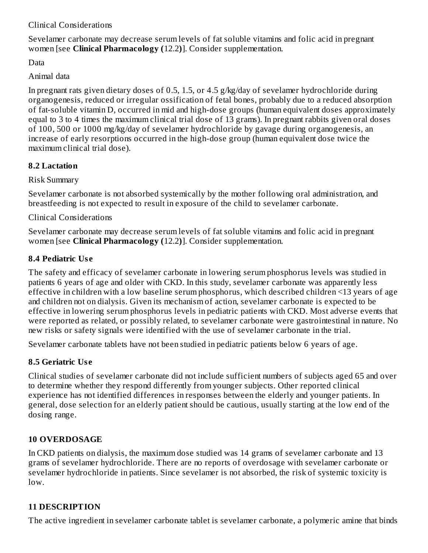## Clinical Considerations

Sevelamer carbonate may decrease serum levels of fat soluble vitamins and folic acid in pregnant women [see **Clinical Pharmacology (**12.2**)**]. Consider supplementation.

Data

Animal data

In pregnant rats given dietary doses of 0.5, 1.5, or 4.5 g/kg/day of sevelamer hydrochloride during organogenesis, reduced or irregular ossification of fetal bones, probably due to a reduced absorption of fat-soluble vitamin D, occurred in mid and high-dose groups (human equivalent doses approximately equal to 3 to 4 times the maximum clinical trial dose of  $1\overline{3}$  grams). In pregnant rabbits given oral doses of 100, 500 or 1000 mg/kg/day of sevelamer hydrochloride by gavage during organogenesis, an increase of early resorptions occurred in the high-dose group (human equivalent dose twice the maximum clinical trial dose).

## **8.2 Lactation**

Risk Summary

Sevelamer carbonate is not absorbed systemically by the mother following oral administration, and breastfeeding is not expected to result in exposure of the child to sevelamer carbonate.

Clinical Considerations

Sevelamer carbonate may decrease serum levels of fat soluble vitamins and folic acid in pregnant women [see **Clinical Pharmacology (**12.2**)**]. Consider supplementation.

## **8.4 Pediatric Us e**

The safety and efficacy of sevelamer carbonate in lowering serum phosphorus levels was studied in patients 6 years of age and older with CKD. In this study, sevelamer carbonate was apparently less effective in children with a low baseline serum phosphorus, which described children <13 years of age and children not on dialysis. Given its mechanism of action, sevelamer carbonate is expected to be effective in lowering serum phosphorus levels in pediatric patients with CKD. Most adverse events that were reported as related, or possibly related, to sevelamer carbonate were gastrointestinal in nature. No new risks or safety signals were identified with the use of sevelamer carbonate in the trial.

Sevelamer carbonate tablets have not been studied in pediatric patients below 6 years of age.

## **8.5 Geriatric Us e**

Clinical studies of sevelamer carbonate did not include sufficient numbers of subjects aged 65 and over to determine whether they respond differently from younger subjects. Other reported clinical experience has not identified differences in responses between the elderly and younger patients. In general, dose selection for an elderly patient should be cautious, usually starting at the low end of the dosing range.

## **10 OVERDOSAGE**

In CKD patients on dialysis, the maximum dose studied was 14 grams of sevelamer carbonate and 13 grams of sevelamer hydrochloride. There are no reports of overdosage with sevelamer carbonate or sevelamer hydrochloride in patients. Since sevelamer is not absorbed, the risk of systemic toxicity is low.

# **11 DESCRIPTION**

The active ingredient in sevelamer carbonate tablet is sevelamer carbonate, a polymeric amine that binds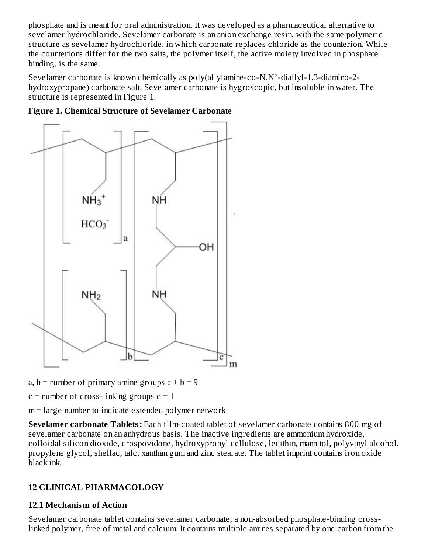phosphate and is meant for oral administration. It was developed as a pharmaceutical alternative to sevelamer hydrochloride. Sevelamer carbonate is an anion exchange resin, with the same polymeric structure as sevelamer hydrochloride, in which carbonate replaces chloride as the counterion. While the counterions differ for the two salts, the polymer itself, the active moiety involved in phosphate binding, is the same.

Sevelamer carbonate is known chemically as poly(allylamine-co-N,N'-diallyl-1,3-diamino-2 hydroxypropane) carbonate salt. Sevelamer carbonate is hygroscopic, but insoluble in water. The structure is represented in Figure 1.



**Figure 1. Chemical Structure of Sevelamer Carbonate**

- a,  $b =$  number of primary amine groups  $a + b = 9$
- $c =$  number of cross-linking groups  $c = 1$

m = large number to indicate extended polymer network

**Sevelamer carbonate Tablets:** Each film-coated tablet of sevelamer carbonate contains 800 mg of sevelamer carbonate on an anhydrous basis. The inactive ingredients are ammonium hydroxide, colloidal silicon dioxide, crospovidone, hydroxypropyl cellulose, lecithin, mannitol, polyvinyl alcohol, propylene glycol, shellac, talc, xanthan gum and zinc stearate. The tablet imprint contains iron oxide black ink.

## **12 CLINICAL PHARMACOLOGY**

#### **12.1 Mechanism of Action**

Sevelamer carbonate tablet contains sevelamer carbonate, a non-absorbed phosphate-binding crosslinked polymer, free of metal and calcium. It contains multiple amines separated by one carbon from the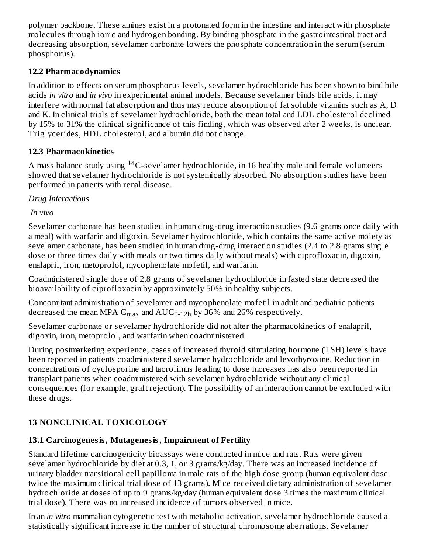polymer backbone. These amines exist in a protonated form in the intestine and interact with phosphate molecules through ionic and hydrogen bonding. By binding phosphate in the gastrointestinal tract and decreasing absorption, sevelamer carbonate lowers the phosphate concentration in the serum (serum phosphorus).

## **12.2 Pharmacodynamics**

In addition to effects on serum phosphorus levels, sevelamer hydrochloride has been shown to bind bile acids *in vitro* and *in vivo* in experimental animal models. Because sevelamer binds bile acids, it may interfere with normal fat absorption and thus may reduce absorption of fat soluble vitamins such as A, D and K. In clinical trials of sevelamer hydrochloride, both the mean total and LDL cholesterol declined by 15% to 31% the clinical significance of this finding, which was observed after 2 weeks, is unclear. Triglycerides, HDL cholesterol, and albumin did not change.

# **12.3 Pharmacokinetics**

A mass balance study using  $^{14}$ C-sevelamer hydrochloride, in 16 healthy male and female volunteers showed that sevelamer hydrochloride is not systemically absorbed. No absorption studies have been performed in patients with renal disease.

*Drug Interactions*

*In vivo*

Sevelamer carbonate has been studied in human drug-drug interaction studies (9.6 grams once daily with a meal) with warfarin and digoxin. Sevelamer hydrochloride, which contains the same active moiety as sevelamer carbonate, has been studied in human drug-drug interaction studies (2.4 to 2.8 grams single dose or three times daily with meals or two times daily without meals) with ciprofloxacin, digoxin, enalapril, iron, metoprolol, mycophenolate mofetil, and warfarin.

Coadministered single dose of 2.8 grams of sevelamer hydrochloride in fasted state decreased the bioavailability of ciprofloxacin by approximately 50% in healthy subjects.

Concomitant administration of sevelamer and mycophenolate mofetil in adult and pediatric patients decreased the mean MPA  $C_{max}$  and  $\mathrm{AUC_{0\text{-}12h}}$  by 36% and 26% respectively.

Sevelamer carbonate or sevelamer hydrochloride did not alter the pharmacokinetics of enalapril, digoxin, iron, metoprolol, and warfarin when coadministered.

During postmarketing experience, cases of increased thyroid stimulating hormone (TSH) levels have been reported in patients coadministered sevelamer hydrochloride and levothyroxine. Reduction in concentrations of cyclosporine and tacrolimus leading to dose increases has also been reported in transplant patients when coadministered with sevelamer hydrochloride without any clinical consequences (for example, graft rejection). The possibility of an interaction cannot be excluded with these drugs.

# **13 NONCLINICAL TOXICOLOGY**

# **13.1 Carcinogenesis, Mutagenesis, Impairment of Fertility**

Standard lifetime carcinogenicity bioassays were conducted in mice and rats. Rats were given sevelamer hydrochloride by diet at 0.3, 1, or 3 grams/kg/day. There was an increased incidence of urinary bladder transitional cell papilloma in male rats of the high dose group (human equivalent dose twice the maximum clinical trial dose of 13 grams). Mice received dietary administration of sevelamer hydrochloride at doses of up to 9 grams/kg/day (human equivalent dose 3 times the maximum clinical trial dose). There was no increased incidence of tumors observed in mice.

In an *in vitro* mammalian cytogenetic test with metabolic activation, sevelamer hydrochloride caused a statistically significant increase in the number of structural chromosome aberrations. Sevelamer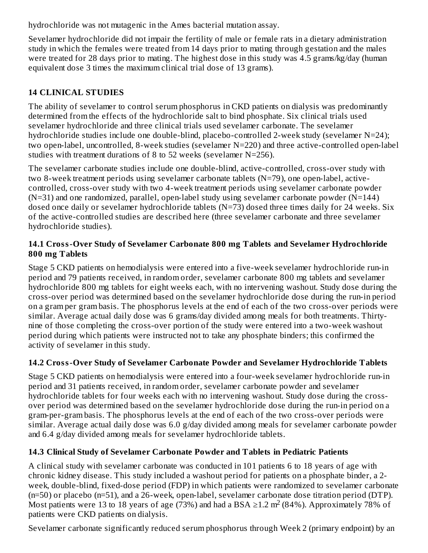hydrochloride was not mutagenic in the Ames bacterial mutation assay.

Sevelamer hydrochloride did not impair the fertility of male or female rats in a dietary administration study in which the females were treated from 14 days prior to mating through gestation and the males were treated for 28 days prior to mating. The highest dose in this study was 4.5 grams/kg/day (human equivalent dose 3 times the maximum clinical trial dose of 13 grams).

# **14 CLINICAL STUDIES**

The ability of sevelamer to control serum phosphorus in CKD patients on dialysis was predominantly determined from the effects of the hydrochloride salt to bind phosphate. Six clinical trials used sevelamer hydrochloride and three clinical trials used sevelamer carbonate. The sevelamer hydrochloride studies include one double-blind, placebo-controlled 2-week study (sevelamer N=24); two open-label, uncontrolled, 8-week studies (sevelamer N=220) and three active-controlled open-label studies with treatment durations of 8 to 52 weeks (sevelamer N=256).

The sevelamer carbonate studies include one double-blind, active-controlled, cross-over study with two 8-week treatment periods using sevelamer carbonate tablets (N=79), one open-label, activecontrolled, cross-over study with two 4-week treatment periods using sevelamer carbonate powder  $(N=31)$  and one randomized, parallel, open-label study using sevelamer carbonate powder  $(N=144)$ dosed once daily or sevelamer hydrochloride tablets (N=73) dosed three times daily for 24 weeks. Six of the active-controlled studies are described here (three sevelamer carbonate and three sevelamer hydrochloride studies).

#### **14.1 Cross-Over Study of Sevelamer Carbonate 800 mg Tablets and Sevelamer Hydrochloride 800 mg Tablets**

Stage 5 CKD patients on hemodialysis were entered into a five-week sevelamer hydrochloride run-in period and 79 patients received, in random order, sevelamer carbonate 800 mg tablets and sevelamer hydrochloride 800 mg tablets for eight weeks each, with no intervening washout. Study dose during the cross-over period was determined based on the sevelamer hydrochloride dose during the run-in period on a gram per gram basis. The phosphorus levels at the end of each of the two cross-over periods were similar. Average actual daily dose was 6 grams/day divided among meals for both treatments. Thirtynine of those completing the cross-over portion of the study were entered into a two-week washout period during which patients were instructed not to take any phosphate binders; this confirmed the activity of sevelamer in this study.

## **14.2 Cross-Over Study of Sevelamer Carbonate Powder and Sevelamer Hydrochloride Tablets**

Stage 5 CKD patients on hemodialysis were entered into a four-week sevelamer hydrochloride run-in period and 31 patients received, in random order, sevelamer carbonate powder and sevelamer hydrochloride tablets for four weeks each with no intervening washout. Study dose during the crossover period was determined based on the sevelamer hydrochloride dose during the run-in period on a gram-per-gram basis. The phosphorus levels at the end of each of the two cross-over periods were similar. Average actual daily dose was 6.0 g/day divided among meals for sevelamer carbonate powder and 6.4 g/day divided among meals for sevelamer hydrochloride tablets.

## **14.3 Clinical Study of Sevelamer Carbonate Powder and Tablets in Pediatric Patients**

A clinical study with sevelamer carbonate was conducted in 101 patients 6 to 18 years of age with chronic kidney disease. This study included a washout period for patients on a phosphate binder, a 2 week, double-blind, fixed-dose period (FDP) in which patients were randomized to sevelamer carbonate (n=50) or placebo (n=51), and a 26-week, open-label, sevelamer carbonate dose titration period (DTP). Most patients were 13 to 18 years of age (73%) and had a BSA ≥1.2 m<sup>2</sup> (84%). Approximately 78% of patients were CKD patients on dialysis.

Sevelamer carbonate significantly reduced serum phosphorus through Week 2 (primary endpoint) by an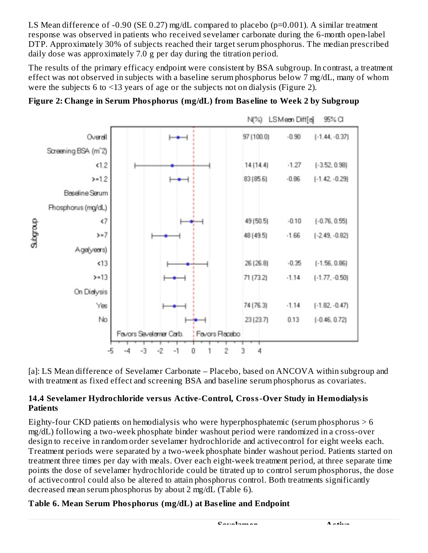LS Mean difference of -0.90 (SE 0.27) mg/dL compared to placebo (p=0.001). A similar treatment response was observed in patients who received sevelamer carbonate during the 6-month open-label DTP. Approximately 30% of subjects reached their target serum phosphorus. The median prescribed daily dose was approximately 7.0 g per day during the titration period.

The results of the primary efficacy endpoint were consistent by BSA subgroup. In contrast, a treatment effect was not observed in subjects with a baseline serum phosphorus below 7 mg/dL, many of whom were the subjects 6 to <13 years of age or the subjects not on dialysis (Figure 2).





[a]: LS Mean difference of Sevelamer Carbonate - Placebo, based on ANCOVA within subgroup and with treatment as fixed effect and screening BSA and baseline serum phosphorus as covariates.

## **14.4 Sevelamer Hydrochloride versus Active-Control, Cross-Over Study in Hemodialysis Patients**

Eighty-four CKD patients on hemodialysis who were hyperphosphatemic (serum phosphorus  $> 6$ ) mg/dL) following a two-week phosphate binder washout period were randomized in a cross-over design to receive in random order sevelamer hydrochloride and activecontrol for eight weeks each. Treatment periods were separated by a two-week phosphate binder washout period. Patients started on treatment three times per day with meals. Over each eight-week treatment period, at three separate time points the dose of sevelamer hydrochloride could be titrated up to control serum phosphorus, the dose of activecontrol could also be altered to attain phosphorus control. Both treatments significantly decreased mean serum phosphorus by about 2 mg/dL (Table 6).

# **Table 6. Mean Serum Phosphorus (mg/dL) at Bas eline and Endpoint**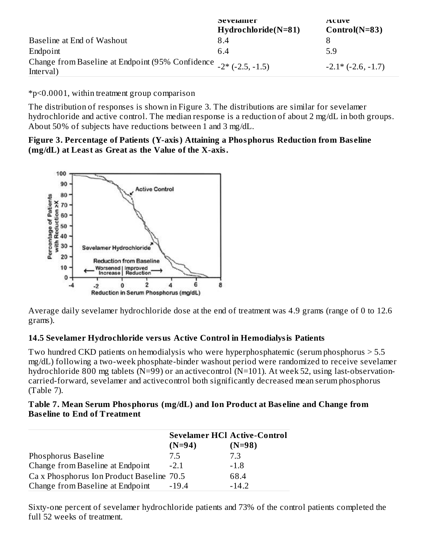|                                                                                   | эе метаппет<br>$Hydrochloride(N=81)$ | Acuve<br>$Control(N=83)$    |
|-----------------------------------------------------------------------------------|--------------------------------------|-----------------------------|
| Baseline at End of Washout                                                        | 8.4                                  | 8                           |
| Endpoint                                                                          | 6.4                                  | 5.9                         |
| Change from Baseline at Endpoint (95% Confidence $-2$ * (-2.5, -1.5)<br>Interval) |                                      | $-2.1*$ ( $-2.6$ , $-1.7$ ) |

\*p<0.0001, within treatment group comparison

The distribution of responses is shown in Figure 3. The distributions are similar for sevelamer hydrochloride and active control. The median response is a reduction of about 2 mg/dL in both groups. About 50% of subjects have reductions between 1 and 3 mg/dL.

#### **Figure 3. Percentage of Patients (Y-axis) Attaining a Phosphorus Reduction from Bas eline (mg/dL) at Least as Great as the Value of the X-axis.**



Average daily sevelamer hydrochloride dose at the end of treatment was 4.9 grams (range of 0 to 12.6 grams).

## **14.5 Sevelamer Hydrochloride versus Active Control in Hemodialysis Patients**

Two hundred CKD patients on hemodialysis who were hyperphosphatemic (serum phosphorus > 5.5 mg/dL) following a two-week phosphate-binder washout period were randomized to receive sevelamer hydrochloride 800 mg tablets (N=99) or an activecontrol (N=101). At week 52, using last-observationcarried-forward, sevelamer and activecontrol both significantly decreased mean serum phosphorus (Table 7).

| Table 7. Mean Serum Phosphorus (mg/dL) and Ion Product at Baseline and Change from |  |
|------------------------------------------------------------------------------------|--|
| <b>Baseline to End of Treatment</b>                                                |  |

|                                           | <b>Sevelamer HCl Active-Control</b> |          |
|-------------------------------------------|-------------------------------------|----------|
|                                           | $(N=94)$                            | $(N=98)$ |
| Phosphorus Baseline                       | 7.5                                 | 7.3      |
| Change from Baseline at Endpoint          | $-2.1$                              | $-1.8$   |
| Ca x Phosphorus Ion Product Baseline 70.5 |                                     | 68.4     |
| Change from Baseline at Endpoint          | $-19.4$                             | $-14.2$  |

Sixty-one percent of sevelamer hydrochloride patients and 73% of the control patients completed the full 52 weeks of treatment.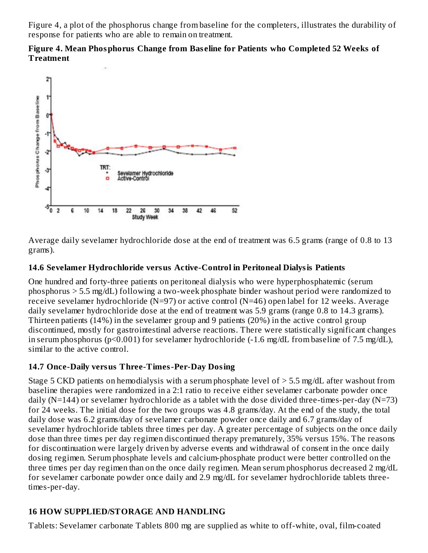Figure 4, a plot of the phosphorus change from baseline for the completers, illustrates the durability of response for patients who are able to remain on treatment.





Average daily sevelamer hydrochloride dose at the end of treatment was 6.5 grams (range of 0.8 to 13 grams).

## **14.6 Sevelamer Hydrochloride versus Active-Control in Peritoneal Dialysis Patients**

One hundred and forty-three patients on peritoneal dialysis who were hyperphosphatemic (serum phosphorus > 5.5 mg/dL) following a two-week phosphate binder washout period were randomized to receive sevelamer hydrochloride (N=97) or active control (N=46) open label for 12 weeks. Average daily sevelamer hydrochloride dose at the end of treatment was 5.9 grams (range 0.8 to 14.3 grams). Thirteen patients (14%) in the sevelamer group and 9 patients (20%) in the active control group discontinued, mostly for gastrointestinal adverse reactions. There were statistically significant changes in serum phosphorus (p<0.001) for sevelamer hydrochloride (-1.6 mg/dL from baseline of 7.5 mg/dL), similar to the active control.

## **14.7 Once-Daily versus Three-Times-Per-Day Dosing**

Stage 5 CKD patients on hemodialysis with a serum phosphate level of > 5.5 mg/dL after washout from baseline therapies were randomized in a 2:1 ratio to receive either sevelamer carbonate powder once daily (N=144) or sevelamer hydrochloride as a tablet with the dose divided three-times-per-day (N=73) for 24 weeks. The initial dose for the two groups was 4.8 grams/day. At the end of the study, the total daily dose was 6.2 grams/day of sevelamer carbonate powder once daily and 6.7 grams/day of sevelamer hydrochloride tablets three times per day. A greater percentage of subjects on the once daily dose than three times per day regimen discontinued therapy prematurely, 35% versus 15%. The reasons for discontinuation were largely driven by adverse events and withdrawal of consent in the once daily dosing regimen. Serum phosphate levels and calcium-phosphate product were better controlled on the three times per day regimen than on the once daily regimen. Mean serum phosphorus decreased 2 mg/dL for sevelamer carbonate powder once daily and 2.9 mg/dL for sevelamer hydrochloride tablets threetimes-per-day.

## **16 HOW SUPPLIED/STORAGE AND HANDLING**

Tablets: Sevelamer carbonate Tablets 800 mg are supplied as white to off-white, oval, film-coated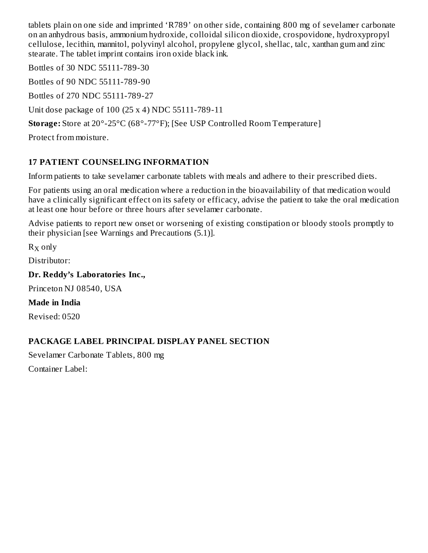tablets plain on one side and imprinted 'R789' on other side, containing 800 mg of sevelamer carbonate on an anhydrous basis, ammonium hydroxide, colloidal silicon dioxide, crospovidone, hydroxypropyl cellulose, lecithin, mannitol, polyvinyl alcohol, propylene glycol, shellac, talc, xanthan gum and zinc stearate. The tablet imprint contains iron oxide black ink.

Bottles of 30 NDC 55111-789-30

Bottles of 90 NDC 55111-789-90

Bottles of 270 NDC 55111-789-27

Unit dose package of 100 (25 x 4) NDC 55111-789-11

**Storage:** Store at 20°-25°C (68°-77°F); [See USP Controlled Room Temperature]

Protect from moisture.

## **17 PATIENT COUNSELING INFORMATION**

Inform patients to take sevelamer carbonate tablets with meals and adhere to their prescribed diets.

For patients using an oral medication where a reduction in the bioavailability of that medication would have a clinically significant effect on its safety or efficacy, advise the patient to take the oral medication at least one hour before or three hours after sevelamer carbonate.

Advise patients to report new onset or worsening of existing constipation or bloody stools promptly to their physician [see Warnings and Precautions (5.1)].

 $R_X$  only

Distributor:

**Dr. Reddy's Laboratories Inc.,**

Princeton NJ 08540, USA

**Made in India**

Revised: 0520

## **PACKAGE LABEL PRINCIPAL DISPLAY PANEL SECTION**

Sevelamer Carbonate Tablets, 800 mg Container Label: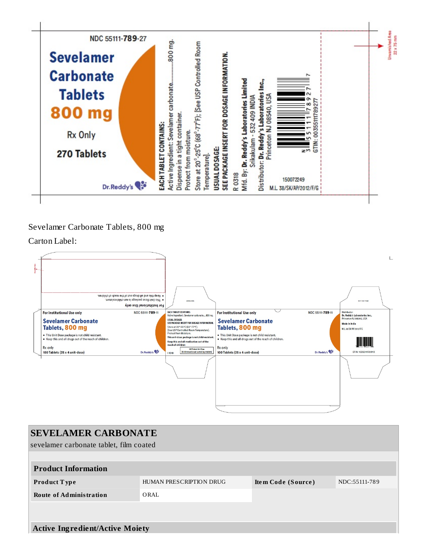

#### Sevelamer Carbonate Tablets, 800 mg

Carton Label:

| · Keep this and all drugs out of the reach of children.<br>. This Unit Dose package is not child resistant.<br>For Institutional Use only | SRBL/OOK1                                                                                                             |                                                                                                             |                  | HEX OCE X OSE                                                             |
|-------------------------------------------------------------------------------------------------------------------------------------------|-----------------------------------------------------------------------------------------------------------------------|-------------------------------------------------------------------------------------------------------------|------------------|---------------------------------------------------------------------------|
| <b>For Institutional Use only</b><br>NDC 55111-789-11<br><b>Sevelamer Carbonate</b>                                                       | EACH TABLET CONTAINS:<br>Active Ingredient: Sevelamer carbonate800 mg.<br><b>USUAL DOSAGE:</b>                        | <b>For Institutional Use only</b><br><b>Sevelamer Carbonate</b>                                             | NDC 55111-789-11 | Distributor:<br>Dr. Reddy's Laboratories Inc.,<br>Princeton NJ 08540, USA |
| Tablets, 800 mg                                                                                                                           | SEE PACKAGE INSERT FOR DOSAGE INFORMATION.<br>Store at 20°-25°C (68°-77°F);<br>[See USP Controlled Room Temperature]. | Tablets, 800 mg                                                                                             |                  | Made in India<br>M.L.38/SK/AP/2012/F/G                                    |
| . This Unit Dose package is not child resistant.<br>• Keep this and all drugs out of the reach of children.                               | Protect from Moisture.<br>This unit-dose package is not child-resistant.<br>Keep this and all medication out of the   | . This Unit Dose package is not child resistant.<br>. Keep this and all drugs out of the reach of children. |                  |                                                                           |
| R <sub>x</sub> only<br>Dr.Reddy's<br>100 Tablets (25 x 4 unit-dose)                                                                       | reach of children<br>100 Tablets Unit Dow<br>(25 blistercards each containing 4 toblets)<br><b>I</b> 1018             | Rx only<br>100 Tablets (25 x 4 unit-dose)                                                                   | Dr.Reddy's       | GTIN: 10355111789113                                                      |
|                                                                                                                                           |                                                                                                                       |                                                                                                             |                  |                                                                           |

| <b>SEVELAMER CARBONATE</b>              |                         |                    |               |  |  |  |
|-----------------------------------------|-------------------------|--------------------|---------------|--|--|--|
| sevelamer carbonate tablet, film coated |                         |                    |               |  |  |  |
|                                         |                         |                    |               |  |  |  |
| <b>Product Information</b>              |                         |                    |               |  |  |  |
| <b>Product Type</b>                     | HUMAN PRESCRIPTION DRUG | Item Code (Source) | NDC:55111-789 |  |  |  |
| <b>Route of Administration</b>          | ORAL                    |                    |               |  |  |  |
|                                         |                         |                    |               |  |  |  |
|                                         |                         |                    |               |  |  |  |
| <b>Active Ingredient/Active Moiety</b>  |                         |                    |               |  |  |  |